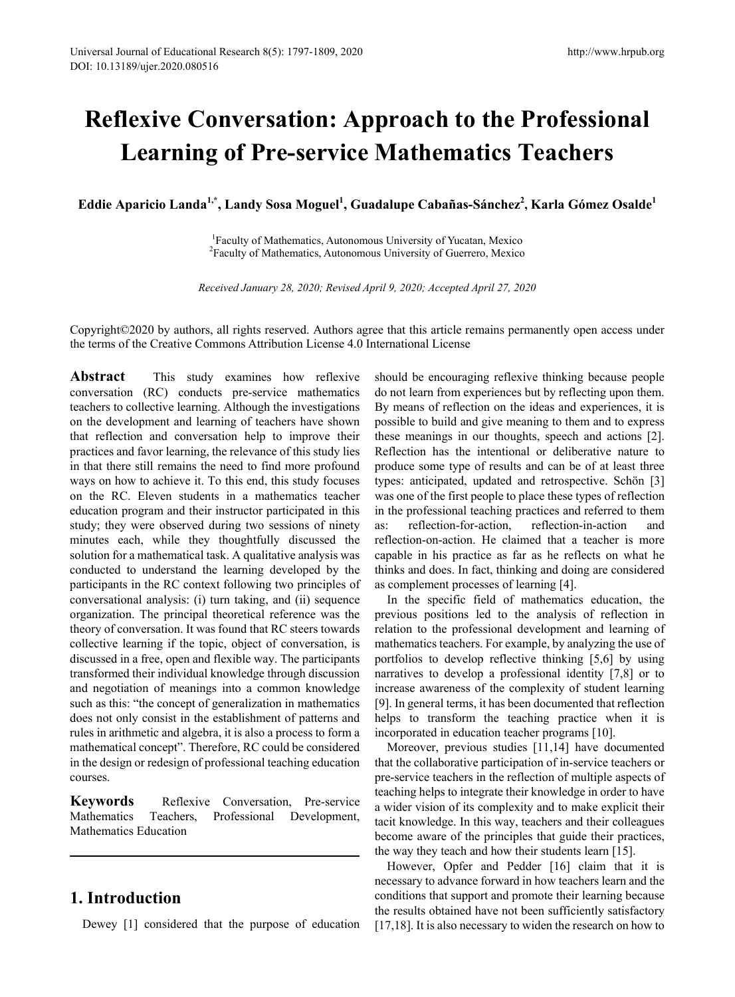# **Reflexive Conversation: Approach to the Professional Learning of Pre-service Mathematics Teachers**

Eddie Aparicio Landa<sup>1,\*</sup>, Landy Sosa Moguel<sup>1</sup>, Guadalupe Cabañas-Sánchez<sup>2</sup>, Karla Gómez Osalde<sup>1</sup>

<sup>1</sup> Faculty of Mathematics, Autonomous University of Yucatan, Mexico <sup>2</sup> Faculty of Mathematics, Autonomous University of Guerrero, Mexico Faculty of Mathematics, Autonomous University of Guerrero, Mexico

*Received January 28, 2020; Revised April 9, 2020; Accepted April 27, 2020*

Copyright©2020 by authors, all rights reserved. Authors agree that this article remains permanently open access under the terms of the Creative Commons Attribution License 4.0 International License

**Abstract** This study examines how reflexive conversation (RC) conducts pre-service mathematics teachers to collective learning. Although the investigations on the development and learning of teachers have shown that reflection and conversation help to improve their practices and favor learning, the relevance of this study lies in that there still remains the need to find more profound ways on how to achieve it. To this end, this study focuses on the RC. Eleven students in a mathematics teacher education program and their instructor participated in this study; they were observed during two sessions of ninety minutes each, while they thoughtfully discussed the solution for a mathematical task. A qualitative analysis was conducted to understand the learning developed by the participants in the RC context following two principles of conversational analysis: (i) turn taking, and (ii) sequence organization. The principal theoretical reference was the theory of conversation. It was found that RC steers towards collective learning if the topic, object of conversation, is discussed in a free, open and flexible way. The participants transformed their individual knowledge through discussion and negotiation of meanings into a common knowledge such as this: "the concept of generalization in mathematics does not only consist in the establishment of patterns and rules in arithmetic and algebra, it is also a process to form a mathematical concept". Therefore, RC could be considered in the design or redesign of professional teaching education courses.

**Keywords** Reflexive Conversation, Pre-service Mathematics Teachers, Professional Development, Mathematics Education

# **1. Introduction**

Dewey [1] considered that the purpose of education

should be encouraging reflexive thinking because people do not learn from experiences but by reflecting upon them. By means of reflection on the ideas and experiences, it is possible to build and give meaning to them and to express these meanings in our thoughts, speech and actions [2]. Reflection has the intentional or deliberative nature to produce some type of results and can be of at least three types: anticipated, updated and retrospective. Schön [3] was one of the first people to place these types of reflection in the professional teaching practices and referred to them as: reflection-for-action, reflection-in-action and reflection-on-action. He claimed that a teacher is more capable in his practice as far as he reflects on what he thinks and does. In fact, thinking and doing are considered as complement processes of learning [4].

In the specific field of mathematics education, the previous positions led to the analysis of reflection in relation to the professional development and learning of mathematics teachers. For example, by analyzing the use of portfolios to develop reflective thinking [5,6] by using narratives to develop a professional identity [7,8] or to increase awareness of the complexity of student learning [9]. In general terms, it has been documented that reflection helps to transform the teaching practice when it is incorporated in education teacher programs [10].

Moreover, previous studies [11,14] have documented that the collaborative participation of in-service teachers or pre-service teachers in the reflection of multiple aspects of teaching helps to integrate their knowledge in order to have a wider vision of its complexity and to make explicit their tacit knowledge. In this way, teachers and their colleagues become aware of the principles that guide their practices, the way they teach and how their students learn [15].

However, Opfer and Pedder [16] claim that it is necessary to advance forward in how teachers learn and the conditions that support and promote their learning because the results obtained have not been sufficiently satisfactory [17,18]. It is also necessary to widen the research on how to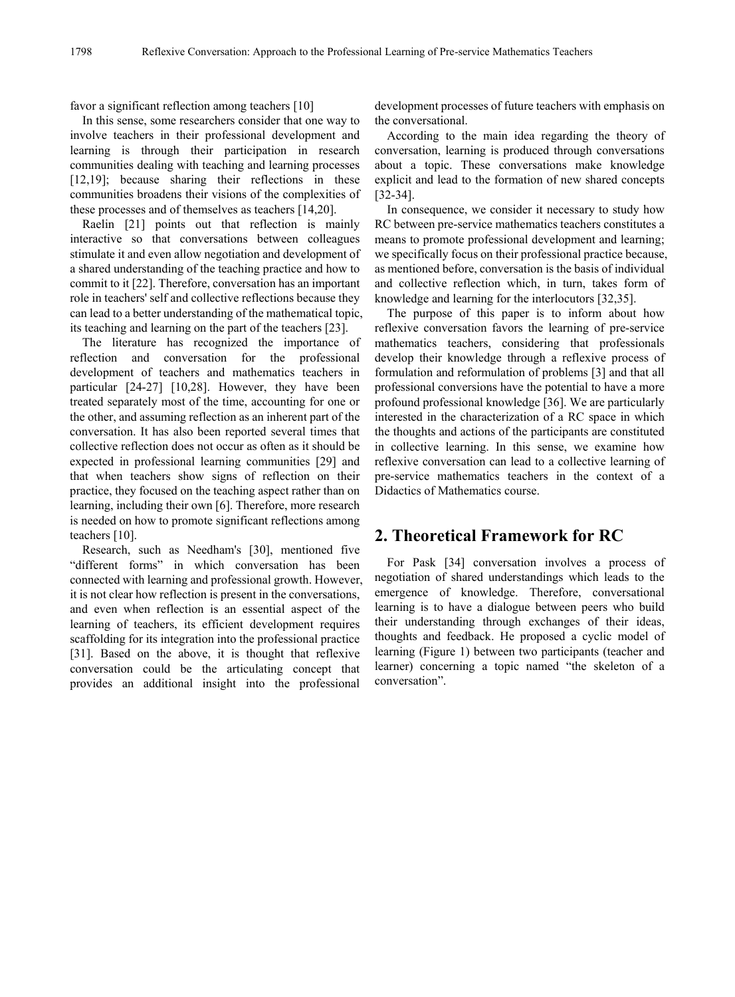favor a significant reflection among teachers [10]

In this sense, some researchers consider that one way to involve teachers in their professional development and learning is through their participation in research communities dealing with teaching and learning processes [12,19]; because sharing their reflections in these communities broadens their visions of the complexities of these processes and of themselves as teachers [14,20].

Raelin [21] points out that reflection is mainly interactive so that conversations between colleagues stimulate it and even allow negotiation and development of a shared understanding of the teaching practice and how to commit to it [22]. Therefore, conversation has an important role in teachers' self and collective reflections because they can lead to a better understanding of the mathematical topic, its teaching and learning on the part of the teachers [23].

The literature has recognized the importance of reflection and conversation for the professional development of teachers and mathematics teachers in particular [24-27] [10,28]. However, they have been treated separately most of the time, accounting for one or the other, and assuming reflection as an inherent part of the conversation. It has also been reported several times that collective reflection does not occur as often as it should be expected in professional learning communities [29] and that when teachers show signs of reflection on their practice, they focused on the teaching aspect rather than on learning, including their own [6]. Therefore, more research is needed on how to promote significant reflections among teachers [10].

Research, such as Needham's [30], mentioned five "different forms" in which conversation has been connected with learning and professional growth. However, it is not clear how reflection is present in the conversations, and even when reflection is an essential aspect of the learning of teachers, its efficient development requires scaffolding for its integration into the professional practice [31]. Based on the above, it is thought that reflexive conversation could be the articulating concept that provides an additional insight into the professional

development processes of future teachers with emphasis on the conversational.

According to the main idea regarding the theory of conversation, learning is produced through conversations about a topic. These conversations make knowledge explicit and lead to the formation of new shared concepts [32-34].

In consequence, we consider it necessary to study how RC between pre-service mathematics teachers constitutes a means to promote professional development and learning; we specifically focus on their professional practice because, as mentioned before, conversation is the basis of individual and collective reflection which, in turn, takes form of knowledge and learning for the interlocutors [32,35].

The purpose of this paper is to inform about how reflexive conversation favors the learning of pre-service mathematics teachers, considering that professionals develop their knowledge through a reflexive process of formulation and reformulation of problems [3] and that all professional conversions have the potential to have a more profound professional knowledge [36]. We are particularly interested in the characterization of a RC space in which the thoughts and actions of the participants are constituted in collective learning. In this sense, we examine how reflexive conversation can lead to a collective learning of pre-service mathematics teachers in the context of a Didactics of Mathematics course.

## **2. Theoretical Framework for RC**

For Pask [34] conversation involves a process of negotiation of shared understandings which leads to the emergence of knowledge. Therefore, conversational learning is to have a dialogue between peers who build their understanding through exchanges of their ideas, thoughts and feedback. He proposed a cyclic model of learning (Figure 1) between two participants (teacher and learner) concerning a topic named "the skeleton of a conversation".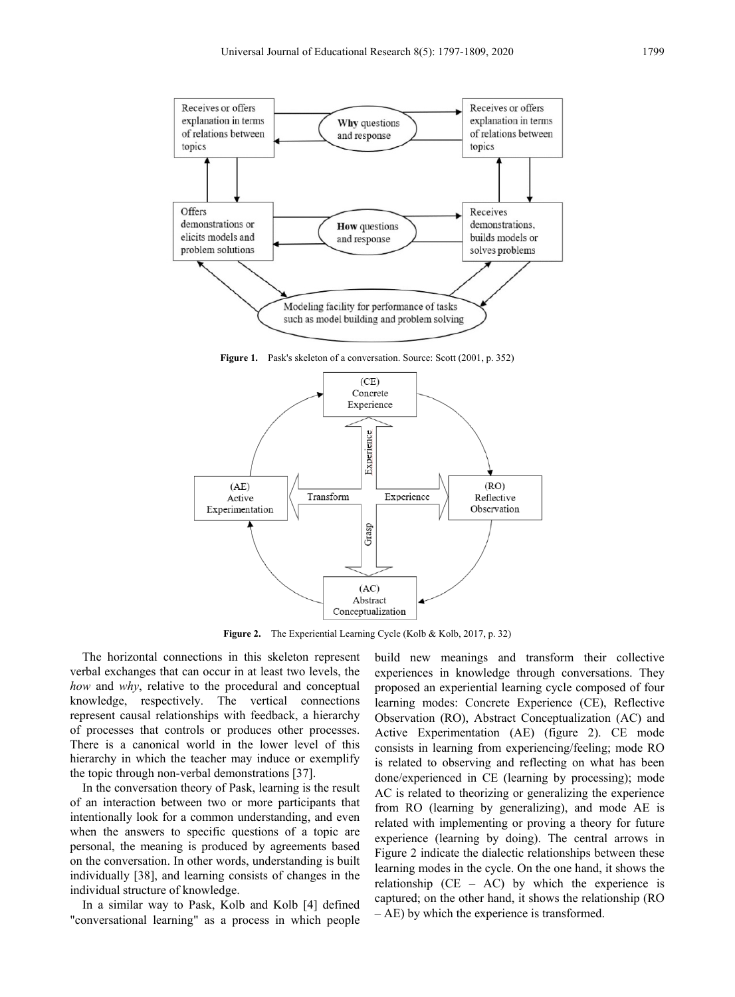

Figure 1. Pask's skeleton of a conversation. Source: Scott (2001, p. 352)



Figure 2. The Experiential Learning Cycle (Kolb & Kolb, 2017, p. 32)

The horizontal connections in this skeleton represent verbal exchanges that can occur in at least two levels, the *how* and *why*, relative to the procedural and conceptual knowledge, respectively. The vertical connections represent causal relationships with feedback, a hierarchy of processes that controls or produces other processes. There is a canonical world in the lower level of this hierarchy in which the teacher may induce or exemplify the topic through non-verbal demonstrations [37].

In the conversation theory of Pask, learning is the result of an interaction between two or more participants that intentionally look for a common understanding, and even when the answers to specific questions of a topic are personal, the meaning is produced by agreements based on the conversation. In other words, understanding is built individually [38], and learning consists of changes in the individual structure of knowledge.

In a similar way to Pask, Kolb and Kolb [4] defined "conversational learning" as a process in which people build new meanings and transform their collective experiences in knowledge through conversations. They proposed an experiential learning cycle composed of four learning modes: Concrete Experience (CE), Reflective Observation (RO), Abstract Conceptualization (AC) and Active Experimentation (AE) (figure 2). CE mode consists in learning from experiencing/feeling; mode RO is related to observing and reflecting on what has been done/experienced in CE (learning by processing); mode AC is related to theorizing or generalizing the experience from RO (learning by generalizing), and mode AE is related with implementing or proving a theory for future experience (learning by doing). The central arrows in Figure 2 indicate the dialectic relationships between these learning modes in the cycle. On the one hand, it shows the relationship  $(CE - AC)$  by which the experience is captured; on the other hand, it shows the relationship (RO – AE) by which the experience is transformed.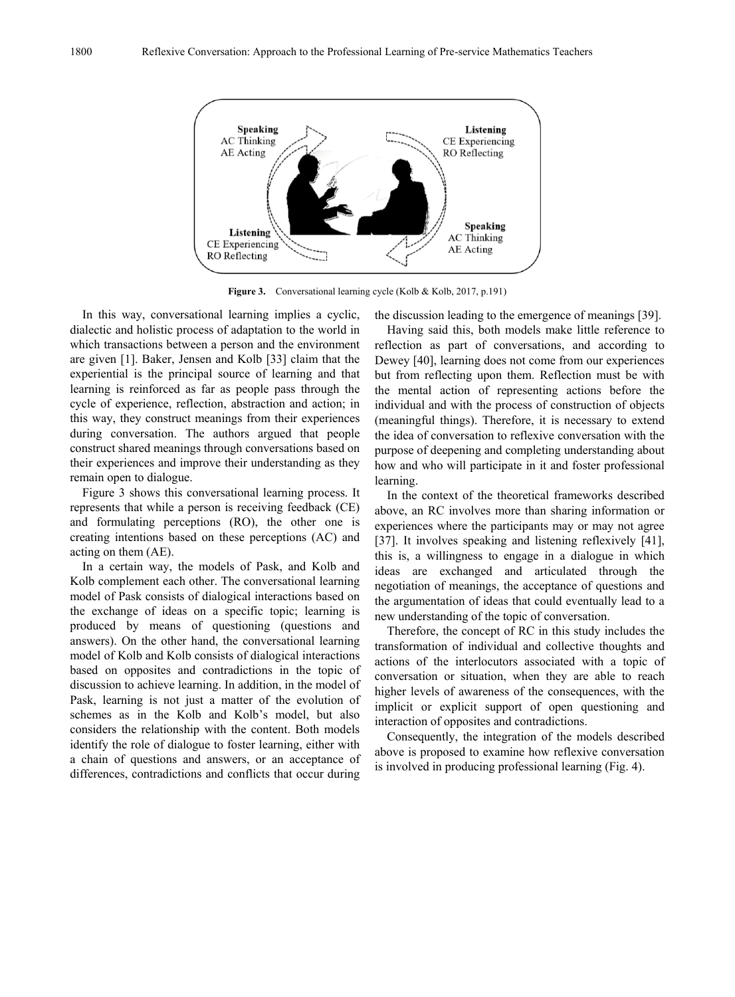

**Figure 3.** Conversational learning cycle (Kolb & Kolb, 2017, p.191)

In this way, conversational learning implies a cyclic, dialectic and holistic process of adaptation to the world in which transactions between a person and the environment are given [1]. Baker, Jensen and Kolb [33] claim that the experiential is the principal source of learning and that learning is reinforced as far as people pass through the cycle of experience, reflection, abstraction and action; in this way, they construct meanings from their experiences during conversation. The authors argued that people construct shared meanings through conversations based on their experiences and improve their understanding as they remain open to dialogue.

Figure 3 shows this conversational learning process. It represents that while a person is receiving feedback (CE) and formulating perceptions (RO), the other one is creating intentions based on these perceptions (AC) and acting on them (AE).

In a certain way, the models of Pask, and Kolb and Kolb complement each other. The conversational learning model of Pask consists of dialogical interactions based on the exchange of ideas on a specific topic; learning is produced by means of questioning (questions and answers). On the other hand, the conversational learning model of Kolb and Kolb consists of dialogical interactions based on opposites and contradictions in the topic of discussion to achieve learning. In addition, in the model of Pask, learning is not just a matter of the evolution of schemes as in the Kolb and Kolb's model, but also considers the relationship with the content. Both models identify the role of dialogue to foster learning, either with a chain of questions and answers, or an acceptance of differences, contradictions and conflicts that occur during

the discussion leading to the emergence of meanings [39].

Having said this, both models make little reference to reflection as part of conversations, and according to Dewey [40], learning does not come from our experiences but from reflecting upon them. Reflection must be with the mental action of representing actions before the individual and with the process of construction of objects (meaningful things). Therefore, it is necessary to extend the idea of conversation to reflexive conversation with the purpose of deepening and completing understanding about how and who will participate in it and foster professional learning.

In the context of the theoretical frameworks described above, an RC involves more than sharing information or experiences where the participants may or may not agree [37]. It involves speaking and listening reflexively [41], this is, a willingness to engage in a dialogue in which ideas are exchanged and articulated through the negotiation of meanings, the acceptance of questions and the argumentation of ideas that could eventually lead to a new understanding of the topic of conversation.

Therefore, the concept of RC in this study includes the transformation of individual and collective thoughts and actions of the interlocutors associated with a topic of conversation or situation, when they are able to reach higher levels of awareness of the consequences, with the implicit or explicit support of open questioning and interaction of opposites and contradictions.

Consequently, the integration of the models described above is proposed to examine how reflexive conversation is involved in producing professional learning (Fig. 4).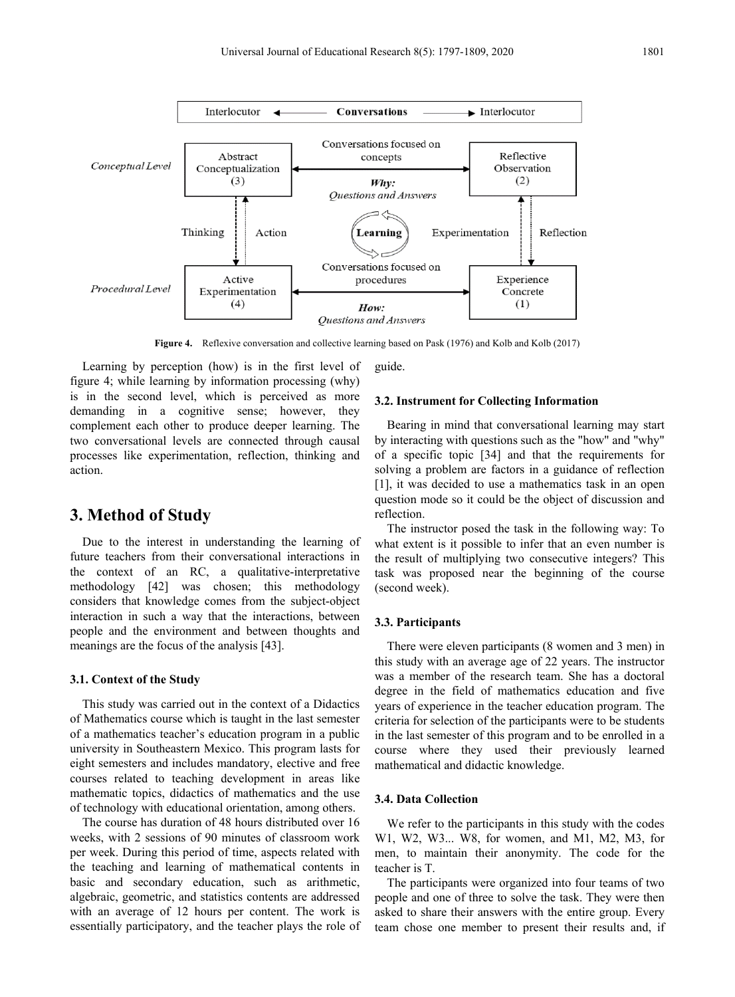

**Figure 4.** Reflexive conversation and collective learning based on Pask (1976) and Kolb and Kolb (2017)

Learning by perception (how) is in the first level of figure 4; while learning by information processing (why) is in the second level, which is perceived as more demanding in a cognitive sense; however, they complement each other to produce deeper learning. The two conversational levels are connected through causal processes like experimentation, reflection, thinking and action.

### **3. Method of Study**

Due to the interest in understanding the learning of future teachers from their conversational interactions in the context of an RC, a qualitative-interpretative methodology [42] was chosen; this methodology considers that knowledge comes from the subject-object interaction in such a way that the interactions, between people and the environment and between thoughts and meanings are the focus of the analysis [43].

### **3.1. Context of the Study**

This study was carried out in the context of a Didactics of Mathematics course which is taught in the last semester of a mathematics teacher's education program in a public university in Southeastern Mexico. This program lasts for eight semesters and includes mandatory, elective and free courses related to teaching development in areas like mathematic topics, didactics of mathematics and the use of technology with educational orientation, among others.

The course has duration of 48 hours distributed over 16 weeks, with 2 sessions of 90 minutes of classroom work per week. During this period of time, aspects related with the teaching and learning of mathematical contents in basic and secondary education, such as arithmetic, algebraic, geometric, and statistics contents are addressed with an average of 12 hours per content. The work is essentially participatory, and the teacher plays the role of guide.

#### **3.2. Instrument for Collecting Information**

Bearing in mind that conversational learning may start by interacting with questions such as the "how" and "why" of a specific topic [34] and that the requirements for solving a problem are factors in a guidance of reflection [1], it was decided to use a mathematics task in an open question mode so it could be the object of discussion and reflection.

The instructor posed the task in the following way: To what extent is it possible to infer that an even number is the result of multiplying two consecutive integers? This task was proposed near the beginning of the course (second week).

### **3.3. Participants**

There were eleven participants (8 women and 3 men) in this study with an average age of 22 years. The instructor was a member of the research team. She has a doctoral degree in the field of mathematics education and five years of experience in the teacher education program. The criteria for selection of the participants were to be students in the last semester of this program and to be enrolled in a course where they used their previously learned mathematical and didactic knowledge.

### **3.4. Data Collection**

We refer to the participants in this study with the codes W1, W2, W3... W8, for women, and M1, M2, M3, for men, to maintain their anonymity. The code for the teacher is T.

The participants were organized into four teams of two people and one of three to solve the task. They were then asked to share their answers with the entire group. Every team chose one member to present their results and, if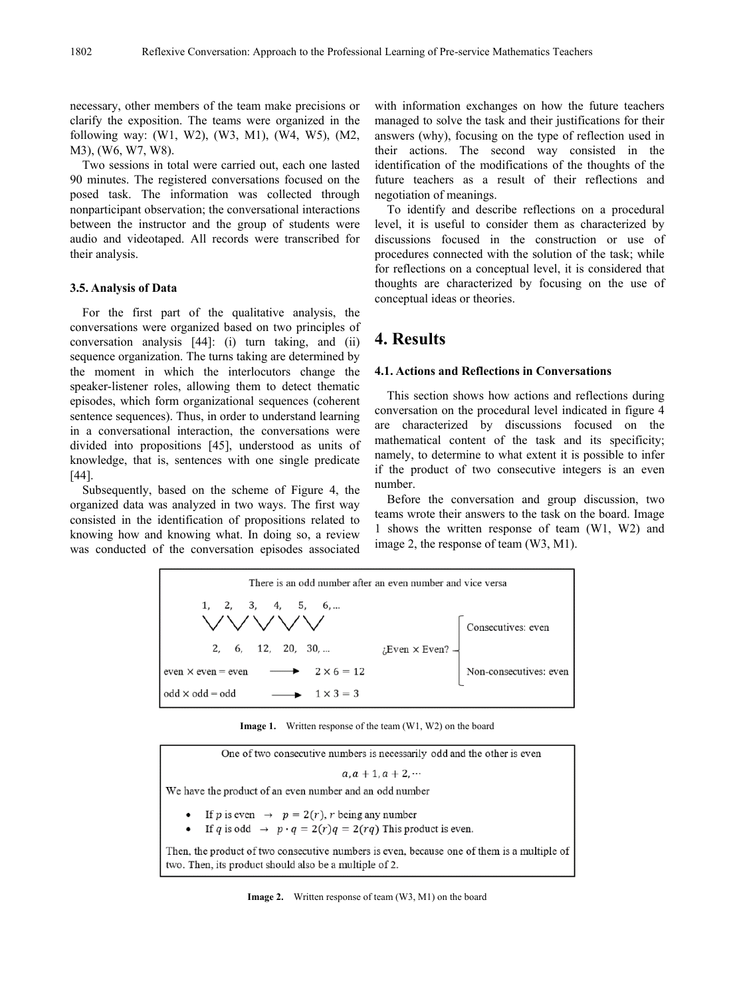necessary, other members of the team make precisions or clarify the exposition. The teams were organized in the following way: (W1, W2), (W3, M1), (W4, W5), (M2, M3), (W6, W7, W8).

Two sessions in total were carried out, each one lasted 90 minutes. The registered conversations focused on the posed task. The information was collected through nonparticipant observation; the conversational interactions between the instructor and the group of students were audio and videotaped. All records were transcribed for their analysis.

### **3.5. Analysis of Data**

For the first part of the qualitative analysis, the conversations were organized based on two principles of conversation analysis [44]: (i) turn taking, and (ii) sequence organization. The turns taking are determined by the moment in which the interlocutors change the speaker-listener roles, allowing them to detect thematic episodes, which form organizational sequences (coherent sentence sequences). Thus, in order to understand learning in a conversational interaction, the conversations were divided into propositions [45], understood as units of knowledge, that is, sentences with one single predicate [44].

Subsequently, based on the scheme of Figure 4, the organized data was analyzed in two ways. The first way consisted in the identification of propositions related to knowing how and knowing what. In doing so, a review was conducted of the conversation episodes associated with information exchanges on how the future teachers managed to solve the task and their justifications for their answers (why), focusing on the type of reflection used in their actions. The second way consisted in the identification of the modifications of the thoughts of the future teachers as a result of their reflections and negotiation of meanings.

To identify and describe reflections on a procedural level, it is useful to consider them as characterized by discussions focused in the construction or use of procedures connected with the solution of the task; while for reflections on a conceptual level, it is considered that thoughts are characterized by focusing on the use of conceptual ideas or theories.

# **4. Results**

#### **4.1. Actions and Reflections in Conversations**

This section shows how actions and reflections during conversation on the procedural level indicated in figure 4 are characterized by discussions focused on the mathematical content of the task and its specificity; namely, to determine to what extent it is possible to infer if the product of two consecutive integers is an even number.

Before the conversation and group discussion, two teams wrote their answers to the task on the board. Image 1 shows the written response of team (W1, W2) and image 2, the response of team (W3, M1).



**Image 1.** Written response of the team (W1, W2) on the board

| One of two consecutive numbers is necessarily odd and the other is even                                                                              |
|------------------------------------------------------------------------------------------------------------------------------------------------------|
| $a, a + 1, a + 2, \cdots$                                                                                                                            |
| We have the product of an even number and an odd number                                                                                              |
| • If p is even $\rightarrow$ $p = 2(r)$ , r being any number<br>• If q is odd $\rightarrow p \cdot q = 2(r)q = 2(rq)$ This product is even.          |
| Then, the product of two consecutive numbers is even, because one of them is a multiple of<br>two. Then, its product should also be a multiple of 2. |

**Image 2.** Written response of team (W3, M1) on the board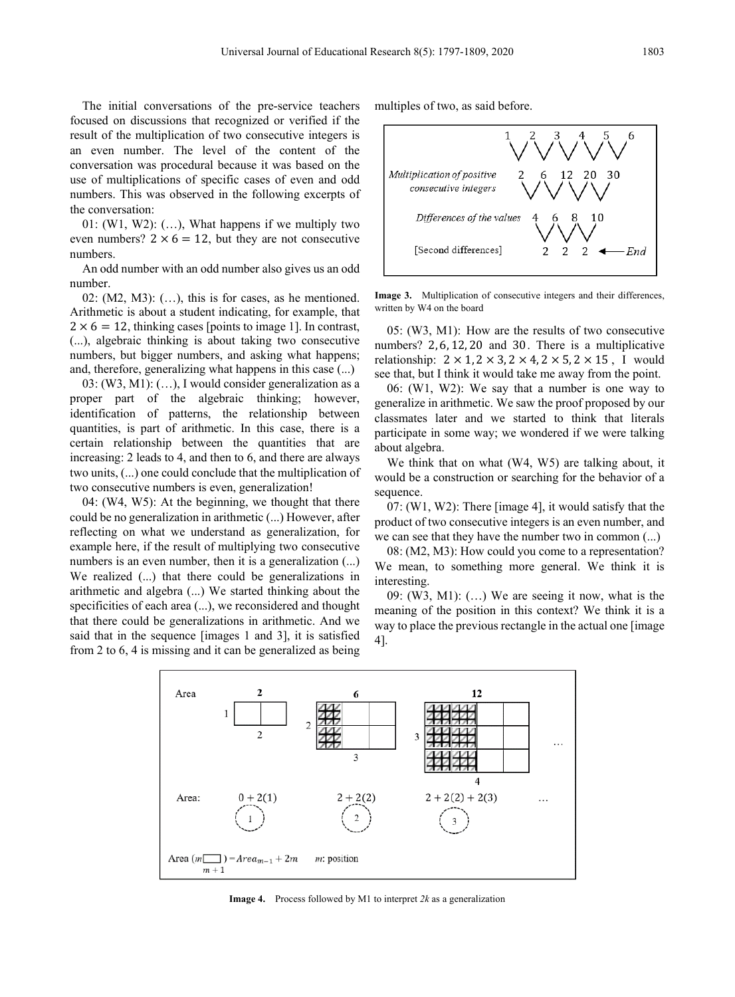The initial conversations of the pre-service teachers focused on discussions that recognized or verified if the result of the multiplication of two consecutive integers is an even number. The level of the content of the conversation was procedural because it was based on the use of multiplications of specific cases of even and odd numbers. This was observed in the following excerpts of the conversation:

01:  $(W1, W2)$ :  $(...)$ , What happens if we multiply two even numbers?  $2 \times 6 = 12$ , but they are not consecutive numbers.

An odd number with an odd number also gives us an odd number.

02:  $(M2, M3)$ :  $(...)$ , this is for cases, as he mentioned. Arithmetic is about a student indicating, for example, that  $2 \times 6 = 12$ , thinking cases [points to image 1]. In contrast, (...), algebraic thinking is about taking two consecutive numbers, but bigger numbers, and asking what happens; and, therefore, generalizing what happens in this case (...)

03: (W3, M1): (…), I would consider generalization as a proper part of the algebraic thinking; however, identification of patterns, the relationship between quantities, is part of arithmetic. In this case, there is a certain relationship between the quantities that are increasing: 2 leads to 4, and then to 6, and there are always two units, (...) one could conclude that the multiplication of two consecutive numbers is even, generalization!

04: (W4, W5): At the beginning, we thought that there could be no generalization in arithmetic (...) However, after reflecting on what we understand as generalization, for example here, if the result of multiplying two consecutive numbers is an even number, then it is a generalization  $(...)$ We realized (...) that there could be generalizations in arithmetic and algebra (...) We started thinking about the specificities of each area (...), we reconsidered and thought that there could be generalizations in arithmetic. And we said that in the sequence [images 1 and 3], it is satisfied from 2 to 6, 4 is missing and it can be generalized as being

multiples of two, as said before.



**Image 3.** Multiplication of consecutive integers and their differences, written by W4 on the board

05: (W3, M1): How are the results of two consecutive numbers? 2, 6, 12, 20 and 30. There is a multiplicative relationship:  $2 \times 1$ ,  $2 \times 3$ ,  $2 \times 4$ ,  $2 \times 5$ ,  $2 \times 15$ , I would see that, but I think it would take me away from the point.

06: (W1, W2): We say that a number is one way to generalize in arithmetic. We saw the proof proposed by our classmates later and we started to think that literals participate in some way; we wondered if we were talking about algebra.

We think that on what (W4, W5) are talking about, it would be a construction or searching for the behavior of a sequence.

07: (W1, W2): There [image 4], it would satisfy that the product of two consecutive integers is an even number, and we can see that they have the number two in common (...)

08: (M2, M3): How could you come to a representation? We mean, to something more general. We think it is interesting.

09: (W3, M1): (…) We are seeing it now, what is the meaning of the position in this context? We think it is a way to place the previous rectangle in the actual one [image 4].



**Image 4.** Process followed by M1 to interpret *2k* as a generalization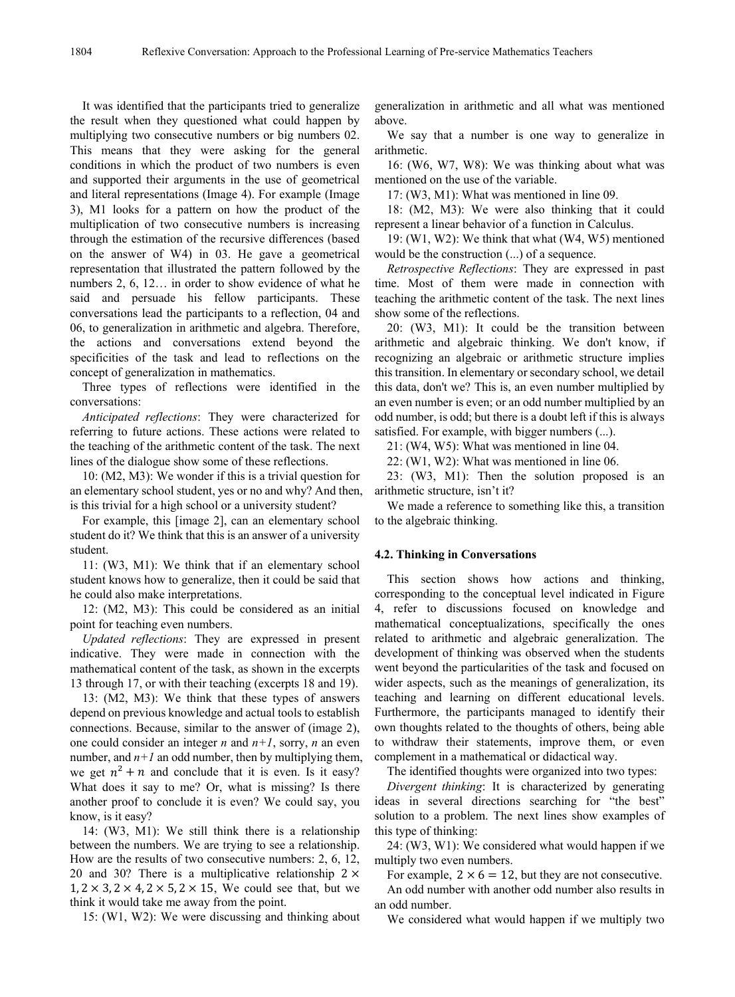It was identified that the participants tried to generalize the result when they questioned what could happen by multiplying two consecutive numbers or big numbers 02. This means that they were asking for the general conditions in which the product of two numbers is even and supported their arguments in the use of geometrical and literal representations (Image 4). For example (Image 3), M1 looks for a pattern on how the product of the multiplication of two consecutive numbers is increasing through the estimation of the recursive differences (based on the answer of W4) in 03. He gave a geometrical representation that illustrated the pattern followed by the numbers 2, 6, 12… in order to show evidence of what he said and persuade his fellow participants. These conversations lead the participants to a reflection, 04 and 06, to generalization in arithmetic and algebra. Therefore, the actions and conversations extend beyond the specificities of the task and lead to reflections on the concept of generalization in mathematics.

Three types of reflections were identified in the conversations:

*Anticipated reflections*: They were characterized for referring to future actions. These actions were related to the teaching of the arithmetic content of the task. The next lines of the dialogue show some of these reflections.

10: (M2, M3): We wonder if this is a trivial question for an elementary school student, yes or no and why? And then, is this trivial for a high school or a university student?

For example, this [image 2], can an elementary school student do it? We think that this is an answer of a university student.

11: (W3, M1): We think that if an elementary school student knows how to generalize, then it could be said that he could also make interpretations.

12: (M2, M3): This could be considered as an initial point for teaching even numbers.

*Updated reflections*: They are expressed in present indicative. They were made in connection with the mathematical content of the task, as shown in the excerpts 13 through 17, or with their teaching (excerpts 18 and 19).

13: (M2, M3): We think that these types of answers depend on previous knowledge and actual tools to establish connections. Because, similar to the answer of (image 2), one could consider an integer *n* and *n+1*, sorry, *n* an even number, and  $n+1$  an odd number, then by multiplying them, we get  $n^2 + n$  and conclude that it is even. Is it easy? What does it say to me? Or, what is missing? Is there another proof to conclude it is even? We could say, you know, is it easy?

14: (W3, M1): We still think there is a relationship between the numbers. We are trying to see a relationship. How are the results of two consecutive numbers: 2, 6, 12, 20 and 30? There is a multiplicative relationship  $2 \times$  $1, 2 \times 3, 2 \times 4, 2 \times 5, 2 \times 15$ , We could see that, but we think it would take me away from the point.

15: (W1, W2): We were discussing and thinking about

generalization in arithmetic and all what was mentioned above.

We say that a number is one way to generalize in arithmetic.

16: (W6, W7, W8): We was thinking about what was mentioned on the use of the variable.

17: (W3, M1): What was mentioned in line 09.

18: (M2, M3): We were also thinking that it could represent a linear behavior of a function in Calculus.

19: (W1, W2): We think that what (W4, W5) mentioned would be the construction (...) of a sequence.

*Retrospective Reflections*: They are expressed in past time. Most of them were made in connection with teaching the arithmetic content of the task. The next lines show some of the reflections.

20: (W3, M1): It could be the transition between arithmetic and algebraic thinking. We don't know, if recognizing an algebraic or arithmetic structure implies this transition. In elementary or secondary school, we detail this data, don't we? This is, an even number multiplied by an even number is even; or an odd number multiplied by an odd number, is odd; but there is a doubt left if this is always satisfied. For example, with bigger numbers (...).

21: (W4, W5): What was mentioned in line 04.

22: (W1, W2): What was mentioned in line 06.

23: (W3, M1): Then the solution proposed is an arithmetic structure, isn't it?

We made a reference to something like this, a transition to the algebraic thinking.

### **4.2. Thinking in Conversations**

This section shows how actions and thinking, corresponding to the conceptual level indicated in Figure 4, refer to discussions focused on knowledge and mathematical conceptualizations, specifically the ones related to arithmetic and algebraic generalization. The development of thinking was observed when the students went beyond the particularities of the task and focused on wider aspects, such as the meanings of generalization, its teaching and learning on different educational levels. Furthermore, the participants managed to identify their own thoughts related to the thoughts of others, being able to withdraw their statements, improve them, or even complement in a mathematical or didactical way.

The identified thoughts were organized into two types:

*Divergent thinking*: It is characterized by generating ideas in several directions searching for "the best" solution to a problem. The next lines show examples of this type of thinking:

24: (W3, W1): We considered what would happen if we multiply two even numbers.

For example,  $2 \times 6 = 12$ , but they are not consecutive.

An odd number with another odd number also results in an odd number.

We considered what would happen if we multiply two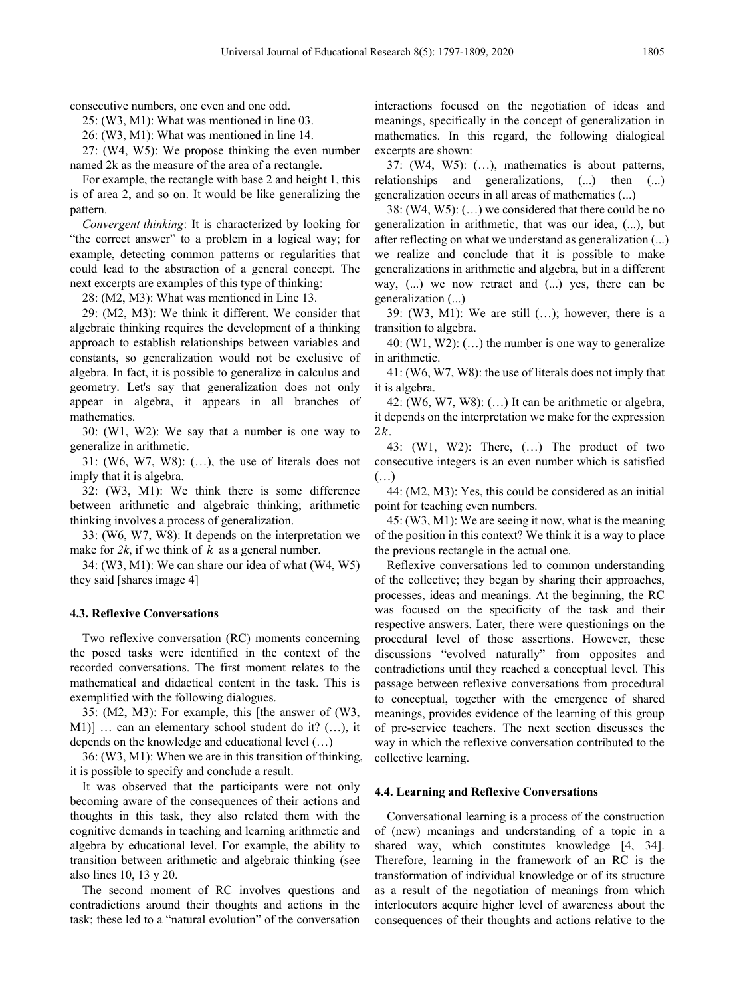consecutive numbers, one even and one odd.

25: (W3, M1): What was mentioned in line 03.

26: (W3, M1): What was mentioned in line 14.

27: (W4, W5): We propose thinking the even number named 2k as the measure of the area of a rectangle.

For example, the rectangle with base 2 and height 1, this is of area 2, and so on. It would be like generalizing the pattern.

*Convergent thinking*: It is characterized by looking for "the correct answer" to a problem in a logical way; for example, detecting common patterns or regularities that could lead to the abstraction of a general concept. The next excerpts are examples of this type of thinking:

28: (M2, M3): What was mentioned in Line 13.

29: (M2, M3): We think it different. We consider that algebraic thinking requires the development of a thinking approach to establish relationships between variables and constants, so generalization would not be exclusive of algebra. In fact, it is possible to generalize in calculus and geometry. Let's say that generalization does not only appear in algebra, it appears in all branches of mathematics.

30: (W1, W2): We say that a number is one way to generalize in arithmetic.

31: (W6, W7, W8): (…), the use of literals does not imply that it is algebra.

32: (W3, M1): We think there is some difference between arithmetic and algebraic thinking; arithmetic thinking involves a process of generalization.

33: (W6, W7, W8): It depends on the interpretation we make for  $2k$ , if we think of  $k$  as a general number.

34: (W3, M1): We can share our idea of what (W4, W5) they said [shares image 4]

#### **4.3. Reflexive Conversations**

Two reflexive conversation (RC) moments concerning the posed tasks were identified in the context of the recorded conversations. The first moment relates to the mathematical and didactical content in the task. This is exemplified with the following dialogues.

35: (M2, M3): For example, this [the answer of (W3, M1)] … can an elementary school student do it? (…), it depends on the knowledge and educational level (…)

36: (W3, M1): When we are in this transition of thinking, it is possible to specify and conclude a result.

It was observed that the participants were not only becoming aware of the consequences of their actions and thoughts in this task, they also related them with the cognitive demands in teaching and learning arithmetic and algebra by educational level. For example, the ability to transition between arithmetic and algebraic thinking (see also lines 10, 13 y 20.

The second moment of RC involves questions and contradictions around their thoughts and actions in the task; these led to a "natural evolution" of the conversation

interactions focused on the negotiation of ideas and meanings, specifically in the concept of generalization in mathematics. In this regard, the following dialogical excerpts are shown:

37: (W4, W5): (…), mathematics is about patterns, relationships and generalizations, (...) then (...) generalization occurs in all areas of mathematics (...)

38: (W4, W5): (…) we considered that there could be no generalization in arithmetic, that was our idea, (...), but after reflecting on what we understand as generalization (...) we realize and conclude that it is possible to make generalizations in arithmetic and algebra, but in a different way, (...) we now retract and (...) yes, there can be generalization (...)

39:  $(W3, M1)$ : We are still  $(...)$ ; however, there is a transition to algebra.

40: (W1, W2):  $(...)$  the number is one way to generalize in arithmetic.

41: (W6, W7, W8): the use of literals does not imply that it is algebra.

42: (W6, W7, W8): (…) It can be arithmetic or algebra, it depends on the interpretation we make for the expression  $2k$ .

43: (W1, W2): There, (…) The product of two consecutive integers is an even number which is satisfied (…)

44: (M2, M3): Yes, this could be considered as an initial point for teaching even numbers.

45: (W3, M1): We are seeing it now, what is the meaning of the position in this context? We think it is a way to place the previous rectangle in the actual one.

Reflexive conversations led to common understanding of the collective; they began by sharing their approaches, processes, ideas and meanings. At the beginning, the RC was focused on the specificity of the task and their respective answers. Later, there were questionings on the procedural level of those assertions. However, these discussions "evolved naturally" from opposites and contradictions until they reached a conceptual level. This passage between reflexive conversations from procedural to conceptual, together with the emergence of shared meanings, provides evidence of the learning of this group of pre-service teachers. The next section discusses the way in which the reflexive conversation contributed to the collective learning.

### **4.4. Learning and Reflexive Conversations**

Conversational learning is a process of the construction of (new) meanings and understanding of a topic in a shared way, which constitutes knowledge [4, 34]. Therefore, learning in the framework of an RC is the transformation of individual knowledge or of its structure as a result of the negotiation of meanings from which interlocutors acquire higher level of awareness about the consequences of their thoughts and actions relative to the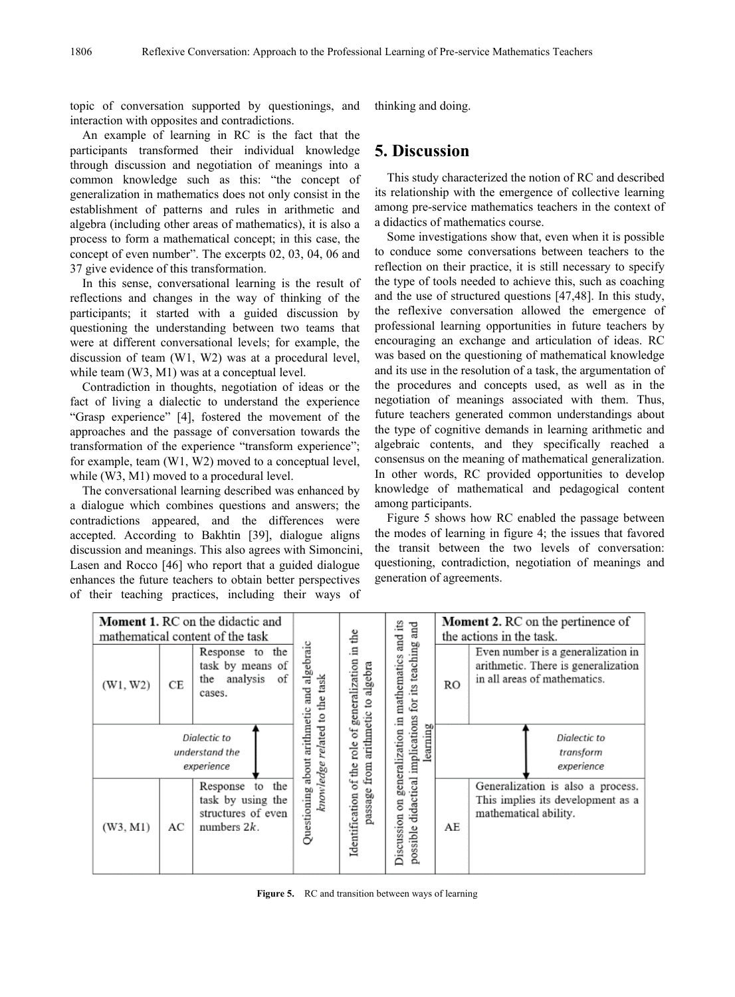topic of conversation supported by questionings, and interaction with opposites and contradictions.

An example of learning in RC is the fact that the participants transformed their individual knowledge through discussion and negotiation of meanings into a common knowledge such as this: "the concept of generalization in mathematics does not only consist in the establishment of patterns and rules in arithmetic and algebra (including other areas of mathematics), it is also a process to form a mathematical concept; in this case, the concept of even number". The excerpts 02, 03, 04, 06 and 37 give evidence of this transformation.

In this sense, conversational learning is the result of reflections and changes in the way of thinking of the participants; it started with a guided discussion by questioning the understanding between two teams that were at different conversational levels; for example, the discussion of team (W1, W2) was at a procedural level, while team (W3, M1) was at a conceptual level.

Contradiction in thoughts, negotiation of ideas or the fact of living a dialectic to understand the experience "Grasp experience" [4], fostered the movement of the approaches and the passage of conversation towards the transformation of the experience "transform experience"; for example, team (W1, W2) moved to a conceptual level, while (W3, M1) moved to a procedural level.

The conversational learning described was enhanced by a dialogue which combines questions and answers; the contradictions appeared, and the differences were accepted. According to Bakhtin [39], dialogue aligns discussion and meanings. This also agrees with Simoncini, Lasen and Rocco [46] who report that a guided dialogue enhances the future teachers to obtain better perspectives of their teaching practices, including their ways of

thinking and doing.

# **5. Discussion**

This study characterized the notion of RC and described its relationship with the emergence of collective learning among pre-service mathematics teachers in the context of a didactics of mathematics course.

Some investigations show that, even when it is possible to conduce some conversations between teachers to the reflection on their practice, it is still necessary to specify the type of tools needed to achieve this, such as coaching and the use of structured questions [47,48]. In this study, the reflexive conversation allowed the emergence of professional learning opportunities in future teachers by encouraging an exchange and articulation of ideas. RC was based on the questioning of mathematical knowledge and its use in the resolution of a task, the argumentation of the procedures and concepts used, as well as in the negotiation of meanings associated with them. Thus, future teachers generated common understandings about the type of cognitive demands in learning arithmetic and algebraic contents, and they specifically reached a consensus on the meaning of mathematical generalization. In other words, RC provided opportunities to develop knowledge of mathematical and pedagogical content among participants.

Figure 5 shows how RC enabled the passage between the modes of learning in figure 4; the issues that favored the transit between the two levels of conversation: questioning, contradiction, negotiation of meanings and generation of agreements.

|                                              | <b>Moment 1. RC</b> on the didactic and<br>mathematical content of the task |                                                                                    | å                                       | and its                            | <b>Moment 2. RC</b> on the pertinence of<br>the actions in the task.                           |    |                                                                                                           |
|----------------------------------------------|-----------------------------------------------------------------------------|------------------------------------------------------------------------------------|-----------------------------------------|------------------------------------|------------------------------------------------------------------------------------------------|----|-----------------------------------------------------------------------------------------------------------|
| (W1, W2)                                     | СE                                                                          | the<br>Response to<br>task by means of<br>analysis<br>of<br>the<br>cases.          | algebraic<br>and<br>etic                | Ξ.<br>generalization<br>to algebra | generalization in mathematics                                                                  | RO | Even number is a generalization in<br>arithmetic. There is generalization<br>in all areas of mathematics. |
| Dialectic to<br>understand the<br>experience |                                                                             |                                                                                    | knowledge related to the task<br>arithm | passage from arithmetic<br>ď       | learning                                                                                       |    | Dialectic to<br>transform<br>experience                                                                   |
| (W3, M1)                                     | AC                                                                          | the<br>to<br>Response<br>task by using the<br>structures of even<br>numbers $2k$ . | Questioning about                       | Identification of the role         | possible didactical implications for its teaching and<br>$\overline{\mathrm{m}}$<br>Discussion | AE | Generalization is also a process.<br>This implies its development as a<br>mathematical ability.           |

**Figure 5.** RC and transition between ways of learning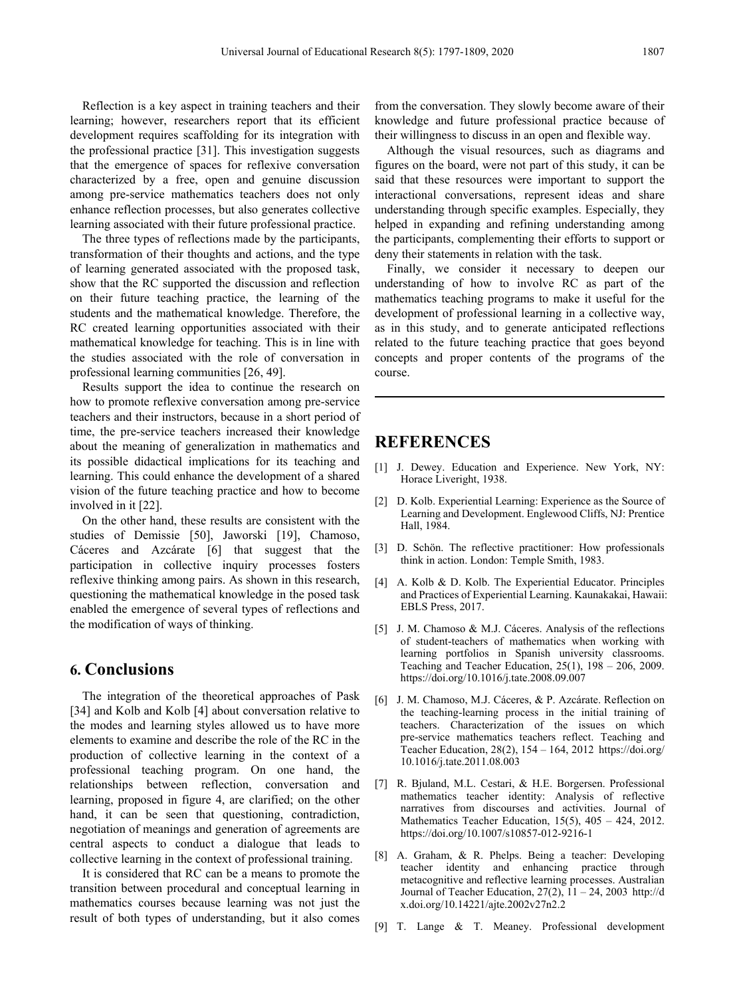Reflection is a key aspect in training teachers and their learning; however, researchers report that its efficient development requires scaffolding for its integration with the professional practice [31]. This investigation suggests that the emergence of spaces for reflexive conversation characterized by a free, open and genuine discussion among pre-service mathematics teachers does not only enhance reflection processes, but also generates collective learning associated with their future professional practice.

The three types of reflections made by the participants, transformation of their thoughts and actions, and the type of learning generated associated with the proposed task, show that the RC supported the discussion and reflection on their future teaching practice, the learning of the students and the mathematical knowledge. Therefore, the RC created learning opportunities associated with their mathematical knowledge for teaching. This is in line with the studies associated with the role of conversation in professional learning communities [26, 49].

Results support the idea to continue the research on how to promote reflexive conversation among pre-service teachers and their instructors, because in a short period of time, the pre-service teachers increased their knowledge about the meaning of generalization in mathematics and its possible didactical implications for its teaching and learning. This could enhance the development of a shared vision of the future teaching practice and how to become involved in it [22].

On the other hand, these results are consistent with the studies of Demissie [50], Jaworski [19], Chamoso, Cáceres and Azcárate [6] that suggest that the participation in collective inquiry processes fosters reflexive thinking among pairs. As shown in this research, questioning the mathematical knowledge in the posed task enabled the emergence of several types of reflections and the modification of ways of thinking.

### **6. Conclusions**

The integration of the theoretical approaches of Pask [34] and Kolb and Kolb [4] about conversation relative to the modes and learning styles allowed us to have more elements to examine and describe the role of the RC in the production of collective learning in the context of a professional teaching program. On one hand, the relationships between reflection, conversation and learning, proposed in figure 4, are clarified; on the other hand, it can be seen that questioning, contradiction, negotiation of meanings and generation of agreements are central aspects to conduct a dialogue that leads to collective learning in the context of professional training.

It is considered that RC can be a means to promote the transition between procedural and conceptual learning in mathematics courses because learning was not just the result of both types of understanding, but it also comes from the conversation. They slowly become aware of their knowledge and future professional practice because of their willingness to discuss in an open and flexible way.

Although the visual resources, such as diagrams and figures on the board, were not part of this study, it can be said that these resources were important to support the interactional conversations, represent ideas and share understanding through specific examples. Especially, they helped in expanding and refining understanding among the participants, complementing their efforts to support or deny their statements in relation with the task.

Finally, we consider it necessary to deepen our understanding of how to involve RC as part of the mathematics teaching programs to make it useful for the development of professional learning in a collective way, as in this study, and to generate anticipated reflections related to the future teaching practice that goes beyond concepts and proper contents of the programs of the course.

### **REFERENCES**

- [1] J. Dewey. Education and Experience. New York, NY: Horace Liveright, 1938.
- [2] D. Kolb. Experiential Learning: Experience as the Source of Learning and Development. Englewood Cliffs, NJ: Prentice Hall, 1984.
- [3] D. Schön. The reflective practitioner: How professionals think in action. London: Temple Smith, 1983.
- [4] A. Kolb & D. Kolb. The Experiential Educator. Principles and Practices of Experiential Learning. Kaunakakai, Hawaii: EBLS Press, 2017.
- [5] J. M. Chamoso & M.J. Cáceres. Analysis of the reflections of student-teachers of mathematics when working with learning portfolios in Spanish university classrooms. Teaching and Teacher Education,  $25(1)$ ,  $198 - 206$ ,  $2009$ . https://doi.org/10.1016/j.tate.2008.09.007
- [6] J. M. Chamoso, M.J. Cáceres, & P. Azcárate. Reflection on the teaching-learning process in the initial training of teachers. Characterization of the issues on which pre-service mathematics teachers reflect. Teaching and Teacher Education, 28(2), 154 – 164, 2012 https://doi.org/ 10.1016/j.tate.2011.08.003
- [7] R. Bjuland, M.L. Cestari, & H.E. Borgersen. Professional mathematics teacher identity: Analysis of reflective narratives from discourses and activities. Journal of Mathematics Teacher Education, 15(5), 405 – 424, 2012. https://doi.org/10.1007/s10857-012-9216-1
- [8] A. Graham, & R. Phelps. Being a teacher: Developing teacher identity and enhancing practice through metacognitive and reflective learning processes. Australian Journal of Teacher Education,  $27(2)$ ,  $11 - 24$ ,  $2003$  http://d x.doi.org/10.14221/ajte.2002v27n2.2
- [9] T. Lange & T. Meaney. Professional development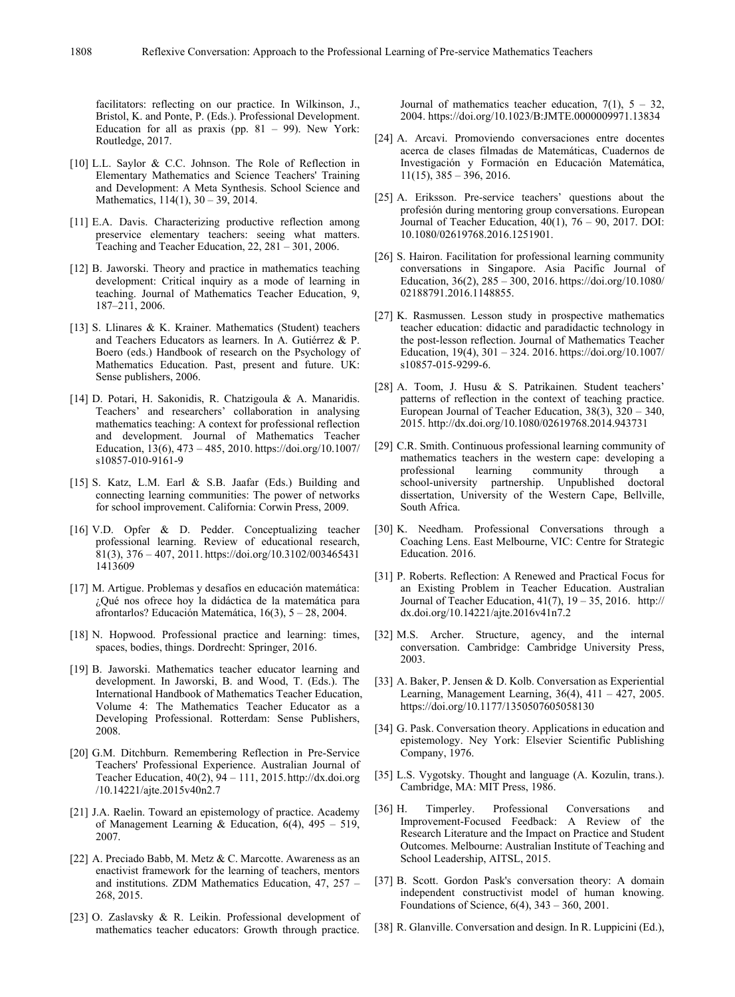facilitators: reflecting on our practice. In Wilkinson, J., Bristol, K. and Ponte, P. (Eds.). Professional Development. Education for all as praxis (pp.  $81 - 99$ ). New York: Routledge, 2017.

- [10] L.L. Saylor & C.C. Johnson. The Role of Reflection in Elementary Mathematics and Science Teachers' Training and Development: A Meta Synthesis. School Science and Mathematics, 114(1), 30 – 39, 2014.
- [11] E.A. Davis. Characterizing productive reflection among preservice elementary teachers: seeing what matters. Teaching and Teacher Education, 22, 281 – 301, 2006.
- [12] B. Jaworski. Theory and practice in mathematics teaching development: Critical inquiry as a mode of learning in teaching. Journal of Mathematics Teacher Education, 9, 187–211, 2006.
- [13] S. Llinares & K. Krainer. Mathematics (Student) teachers and Teachers Educators as learners. In A. Gutiérrez & P. Boero (eds.) Handbook of research on the Psychology of Mathematics Education. Past, present and future. UK: Sense publishers, 2006.
- [14] D. Potari, H. Sakonidis, R. Chatzigoula & A. Manaridis. Teachers' and researchers' collaboration in analysing mathematics teaching: A context for professional reflection and development. Journal of Mathematics Teacher Education,  $13(6)$ ,  $473 - 485$ ,  $2010$ . https://doi.org/10.1007/ s10857-010-9161-9
- [15] S. Katz, L.M. Earl & S.B. Jaafar (Eds.) Building and connecting learning communities: The power of networks for school improvement. California: Corwin Press, 2009.
- [16] V.D. Opfer & D. Pedder. Conceptualizing teacher professional learning. Review of educational research, 81(3), 376 – 407, 2011. https://doi.org/10.3102/003465431 1413609
- [17] M. Artigue. Problemas y desafíos en educación matemática: ¿Qué nos ofrece hoy la didáctica de la matemática para afrontarlos? Educación Matemática, 16(3), 5 – 28, 2004.
- [18] N. Hopwood. Professional practice and learning: times, spaces, bodies, things. Dordrecht: Springer, 2016.
- [19] B. Jaworski. Mathematics teacher educator learning and development. In Jaworski, B. and Wood, T. (Eds.). The International Handbook of Mathematics Teacher Education, Volume 4: The Mathematics Teacher Educator as a Developing Professional. Rotterdam: Sense Publishers, 2008.
- [20] G.M. Ditchburn. Remembering Reflection in Pre-Service Teachers' Professional Experience. Australian Journal of Teacher Education, 40(2), 94 – 111, 2015.http://dx.doi.org /10.14221/ajte.2015v40n2.7
- [21] J.A. Raelin. Toward an epistemology of practice. Academy of Management Learning & Education,  $6(4)$ ,  $495 - 519$ , 2007.
- [22] A. Preciado Babb, M. Metz & C. Marcotte. Awareness as an enactivist framework for the learning of teachers, mentors and institutions. ZDM Mathematics Education, 47, 257 – 268, 2015.
- [23] O. Zaslavsky & R. Leikin. Professional development of mathematics teacher educators: Growth through practice.

Journal of mathematics teacher education,  $7(1)$ ,  $5 - 32$ , 2004. https://doi.org/10.1023/B:JMTE.0000009971.13834

- [24] A. Arcavi. Promoviendo conversaciones entre docentes acerca de clases filmadas de Matemáticas, Cuadernos de Investigación y Formación en Educación Matemática,  $11(15)$ ,  $385 - 396$ ,  $2016$ .
- [25] A. Eriksson. Pre-service teachers' questions about the profesión during mentoring group conversations. European Journal of Teacher Education, 40(1), 76 – 90, 2017. DOI: 10.1080/02619768.2016.1251901.
- [26] S. Hairon. Facilitation for professional learning community conversations in Singapore. Asia Pacific Journal of Education, 36(2), 285 – 300, 2016. https://doi.org/10.1080/ 02188791.2016.1148855.
- [27] K. Rasmussen. Lesson study in prospective mathematics teacher education: didactic and paradidactic technology in the post-lesson reflection. Journal of Mathematics Teacher Education, 19(4), 301 – 324. 2016. https://doi.org/10.1007/ s10857-015-9299-6.
- [28] A. Toom, J. Husu & S. Patrikainen. Student teachers' patterns of reflection in the context of teaching practice. European Journal of Teacher Education, 38(3), 320 – 340, 2015. http://dx.doi.org/10.1080/02619768.2014.943731
- [29] C.R. Smith. Continuous professional learning community of mathematics teachers in the western cape: developing a professional learning community through school-university partnership. Unpublished doctoral dissertation, University of the Western Cape, Bellville, South Africa.
- [30] K. Needham. Professional Conversations through a Coaching Lens. East Melbourne, VIC: Centre for Strategic Education. 2016.
- [31] P. Roberts. Reflection: A Renewed and Practical Focus for an Existing Problem in Teacher Education. Australian Journal of Teacher Education, 41(7), 19 – 35, 2016. http:// dx.doi.org/10.14221/ajte.2016v41n7.2
- [32] M.S. Archer. Structure, agency, and the internal conversation. Cambridge: Cambridge University Press, 2003.
- [33] A. Baker, P. Jensen & D. Kolb. Conversation as Experiential Learning, Management Learning, 36(4), 411 – 427, 2005. https://doi.org/10.1177/1350507605058130
- [34] G. Pask. Conversation theory. Applications in education and epistemology. Ney York: Elsevier Scientific Publishing Company, 1976.
- [35] L.S. Vygotsky. Thought and language (A. Kozulin, trans.). Cambridge, MA: MIT Press, 1986.
- [36] H. Timperley. Professional Conversations and Improvement-Focused Feedback: A Review of the Research Literature and the Impact on Practice and Student Outcomes. Melbourne: Australian Institute of Teaching and School Leadership, AITSL, 2015.
- [37] B. Scott. Gordon Pask's conversation theory: A domain independent constructivist model of human knowing. Foundations of Science, 6(4), 343 – 360, 2001.
- [38] R. Glanville. Conversation and design. In R. Luppicini (Ed.),